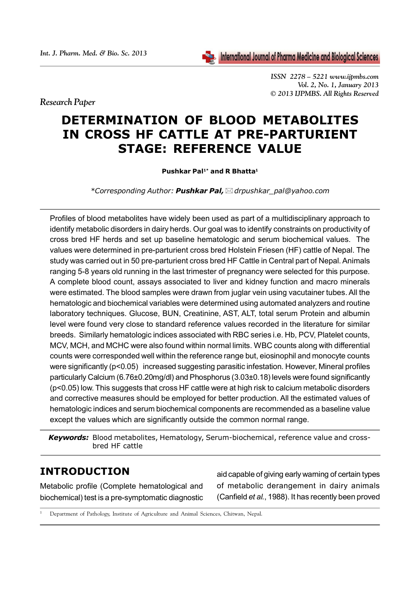

*ISSN 2278 – 5221 www.ijpmbs.com Vol. 2, No. 1, January 2013 © 2013 IJPMBS. All Rights Reserved*

*Research Paper*

# **DETERMINATION OF BLOOD METABOLITES IN CROSS HF CATTLE AT PRE-PARTURIENT STAGE: REFERENCE VALUE**

Pushkar Pal<sup>1\*</sup> and R Bhatta<sup>1</sup>

*\*Corresponding Author: Pushkar Pal,drpushkar\_pal@yahoo.com*

Profiles of blood metabolites have widely been used as part of a multidisciplinary approach to identify metabolic disorders in dairy herds. Our goal was to identify constraints on productivity of cross bred HF herds and set up baseline hematologic and serum biochemical values. The values were determined in pre-parturient cross bred Holstein Friesen (HF) cattle of Nepal. The study was carried out in 50 pre-parturient cross bred HF Cattle in Central part of Nepal. Animals ranging 5-8 years old running in the last trimester of pregnancy were selected for this purpose. A complete blood count, assays associated to liver and kidney function and macro minerals were estimated. The blood samples were drawn from juglar vein using vacutainer tubes. All the hematologic and biochemical variables were determined using automated analyzers and routine laboratory techniques. Glucose, BUN, Creatinine, AST, ALT, total serum Protein and albumin level were found very close to standard reference values recorded in the literature for similar breeds. Similarly hematologic indices associated with RBC series i.e. Hb, PCV, Platelet counts, MCV, MCH, and MCHC were also found within normal limits. WBC counts along with differential counts were corresponded well within the reference range but, eiosinophil and monocyte counts were significantly (p<0.05) increased suggesting parasitic infestation. However, Mineral profiles particularly Calcium (6.76±0.20mg/dl) and Phosphorus (3.03±0.18) levels were found significantly (p<0.05) low. This suggests that cross HF cattle were at high risk to calcium metabolic disorders and corrective measures should be employed for better production. All the estimated values of hematologic indices and serum biochemical components are recommended as a baseline value except the values which are significantly outside the common normal range.

*Keywords:* Blood metabolites, Hematology, Serum-biochemical, reference value and crossbred HF cattle

# **INTRODUCTION**

Metabolic profile (Complete hematological and biochemical) test is a pre-symptomatic diagnostic aid capable of giving early warning of certain types of metabolic derangement in dairy animals (Canfield *et al.*, 1988). It has recently been proved

<sup>1</sup> Department of Pathology, Institute of Agriculture and Animal Sciences, Chitwan, Nepal.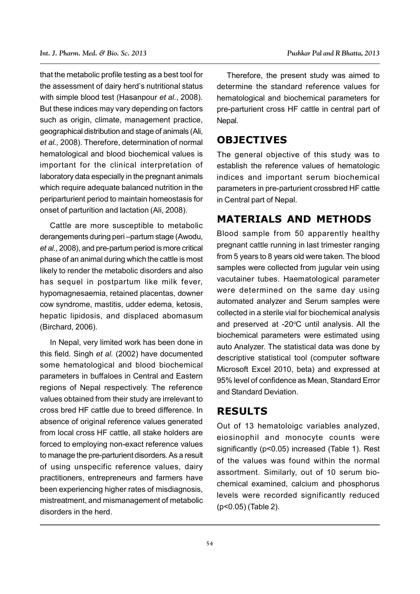that the metabolic profile testing as a best tool for the assessment of dairy herd's nutritional status with simple blood test (Hasanpour *et al.*, 2008). But these indices may vary depending on factors such as origin, climate, management practice, geographical distribution and stage of animals (Ali, *et al.,* 2008). Therefore, determination of normal hematological and blood biochemical values is important for the clinical interpretation of laboratory data especially in the pregnant animals which require adequate balanced nutrition in the periparturient period to maintain homeostasis for onset of parturition and lactation (Ali, 2008).

Cattle are more susceptible to metabolic derangements during peri –partum stage (Awodu, *et al.*, 2008), and pre-partum period is more critical phase of an animal during which the cattle is most likely to render the metabolic disorders and also has sequel in postpartum like milk fever, hypomagnesaemia, retained placentas, downer cow syndrome, mastitis, udder edema, ketosis, hepatic lipidosis, and displaced abomasum (Birchard, 2006).

In Nepal, very limited work has been done in this field. Singh *et al.* (2002) have documented some hematological and blood biochemical parameters in buffaloes in Central and Eastern regions of Nepal respectively. The reference values obtained from their study are irrelevant to cross bred HF cattle due to breed difference. In absence of original reference values generated from local cross HF cattle, all stake holders are forced to employing non-exact reference values to manage the pre-parturient disorders. As a result of using unspecific reference values, dairy practitioners, entrepreneurs and farmers have been experiencing higher rates of misdiagnosis, mistreatment, and mismanagement of metabolic disorders in the herd.

Therefore, the present study was aimed to determine the standard reference values for hematological and biochemical parameters for pre-parturient cross HF cattle in central part of Nepal.

#### **OBJECTIVES**

The general objective of this study was to establish the reference values of hematologic indices and important serum biochemical parameters in pre-parturient crossbred HF cattle in Central part of Nepal.

# **MATERIALS AND METHODS**

Blood sample from 50 apparently healthy pregnant cattle running in last trimester ranging from 5 years to 8 years old were taken. The blood samples were collected from jugular vein using vacutainer tubes. Haematological parameter were determined on the same day using automated analyzer and Serum samples were collected in a sterile vial for biochemical analysis and preserved at -20°C until analysis. All the biochemical parameters were estimated using auto Analyzer. The statistical data was done by descriptive statistical tool (computer software Microsoft Excel 2010, beta) and expressed at 95% level of confidence as Mean, Standard Error and Standard Deviation.

### **RESULTS**

Out of 13 hematoloigc variables analyzed, eiosinophil and monocyte counts were significantly (p<0.05) increased (Table 1). Rest of the values was found within the normal assortment. Similarly, out of 10 serum biochemical examined, calcium and phosphorus levels were recorded significantly reduced (p<0.05) (Table 2).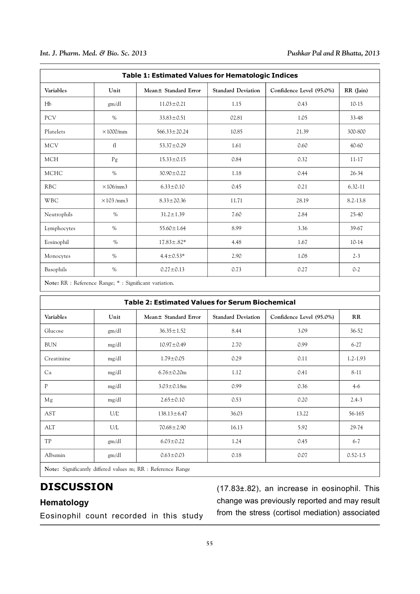| <b>Table 1: Estimated Values for Hematologic Indices</b> |                  |                       |                           |                          |              |  |  |  |  |
|----------------------------------------------------------|------------------|-----------------------|---------------------------|--------------------------|--------------|--|--|--|--|
| Variables                                                | Unit             | Mean + Standard Error | <b>Standard Deviation</b> | Confidence Level (95.0%) | RR (Jain)    |  |  |  |  |
| Hb                                                       | gm/dl            | $11.03 \pm 0.21$      | 1.15                      | 0.43                     | $10-15$      |  |  |  |  |
| PCV                                                      | $\%$             | $33.83 \pm 0.51$      | 02.81                     | 1.05                     | 33-48        |  |  |  |  |
| Platelets                                                | $\times$ 1000/mm | $566.33 \pm 20.24$    | 10.85                     | 21.39                    | 300-800      |  |  |  |  |
| <b>MCV</b>                                               | f1               | $53.37 \pm 0.29$      | 1.61                      | 0.60                     | 40-60        |  |  |  |  |
| <b>MCH</b>                                               | Pg               | $15.33 \pm 0.15$      | 0.84                      | 0.32                     | $11 - 17$    |  |  |  |  |
| MCHC                                                     | $\%$             | $30.90 \pm 0.22$      | 1.18                      | 0.44                     | $26 - 34$    |  |  |  |  |
| <b>RBC</b>                                               | $\times$ 106/mm3 | $6.33 \pm 0.10$       | 0.45                      | 0.21                     | $6.32 - 11$  |  |  |  |  |
| <b>WBC</b>                                               | $\times$ 103/mm3 | $8.33 \pm 20.36$      | 11.71                     | 28.19                    | $8.2 - 13.8$ |  |  |  |  |
| Neutrophils                                              | $\%$             | $31.2 \pm 1.39$       | 7.60                      | 2.84                     | 25-40        |  |  |  |  |
| Lymphocytes                                              | $\%$             | $55.60 \pm 1.64$      | 8.99                      | 3.36                     | 39-67        |  |  |  |  |
| Eosinophil                                               | $\%$             | $17.83 \pm .82*$      | 4.48                      | 1.67                     | $10-14$      |  |  |  |  |
| Monocytes                                                | $\%$             | $4.4 \pm 0.53*$       | 2.90                      | 1.08                     | $2 - 3$      |  |  |  |  |
| Basophils                                                | $\%$             | $0.27 \pm 0.13$       | 0.73                      | 0.27                     | $0 - 2$      |  |  |  |  |

**Note:** RR : Reference Range; \* : Significant variation.

| <b>Table 2: Estimated Values for Serum Biochemical</b>      |       |                       |                           |                          |              |  |  |  |
|-------------------------------------------------------------|-------|-----------------------|---------------------------|--------------------------|--------------|--|--|--|
| Variables                                                   | Unit  | Mean ± Standard Error | <b>Standard Deviation</b> | Confidence Level (95.0%) | RR           |  |  |  |
| Glucose                                                     | gm/dl | $36.35 \pm 1.52$      | 8.44                      | 3.09                     | $36 - 52$    |  |  |  |
| <b>BUN</b>                                                  | mg/dl | $10.97 \pm 0.49$      | 2.70                      | 0.99                     | $6-27$       |  |  |  |
| Creatinine                                                  | mg/dl | $1.79 \pm 0.05$       | 0.29                      | 0.11                     | $1.2 - 1.93$ |  |  |  |
| Ca                                                          | mg/dl | $6.76 \pm 0.20$ m     | 1.12                      | 0.41                     | $8-11$       |  |  |  |
| P                                                           | mg/dl | $3.03 \pm 0.18$ m     | 0.99                      | 0.36                     | $4-6$        |  |  |  |
| Mg                                                          | mg/dl | $2.65 \pm 0.10$       | 0.53                      | 0.20                     | $2.4 - 3$    |  |  |  |
| <b>AST</b>                                                  | U/L   | $138.13 \pm 6.47$     | 36.03                     | 13.22                    | 56-165       |  |  |  |
| ALT                                                         | U/L   | $70.68 \pm 2.90$      | 16.13                     | 5.92                     | 29-74        |  |  |  |
| TP                                                          | gm/dl | $6.03 \pm 0.22$       | 1.24                      | 0.45                     | $6-7$        |  |  |  |
| Albumin                                                     | gm/dl | $0.63 \pm 0.03$       | 0.18                      | 0.07                     | $0.52 - 1.5$ |  |  |  |
| Note: Significantly differed values m; RR : Reference Range |       |                       |                           |                          |              |  |  |  |

# **DISCUSSION**

#### **Hematology**

Eosinophil count recorded in this study

(17.83±.82), an increase in eosinophil. This change was previously reported and may result from the stress (cortisol mediation) associated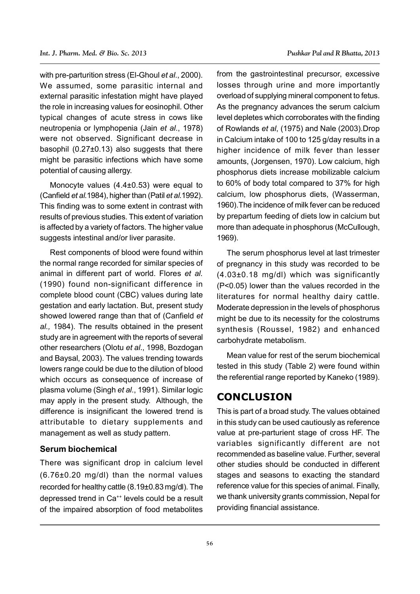with pre-parturition stress (El-Ghoul *et al*., 2000). We assumed, some parasitic internal and external parasitic infestation might have played the role in increasing values for eosinophil. Other typical changes of acute stress in cows like neutropenia or lymphopenia (Jain *et al*., 1978) were not observed. Significant decrease in basophil (0.27±0.13) also suggests that there might be parasitic infections which have some potential of causing allergy.

Monocyte values (4.4±0.53) were equal to (Canfield *et al.*1984), higher than (Patil *et al.*1992). This finding was to some extent in contrast with results of previous studies. This extent of variation is affected by a variety of factors. The higher value suggests intestinal and/or liver parasite.

Rest components of blood were found within the normal range recorded for similar species of animal in different part of world. Flores *et al.* (1990) found non-significant difference in complete blood count (CBC) values during late gestation and early lactation. But, present study showed lowered range than that of (Canfield *et al.,* 1984). The results obtained in the present study are in agreement with the reports of several other researchers (Olotu *et al*., 1998, Bozdogan and Baysal, 2003). The values trending towards lowers range could be due to the dilution of blood which occurs as consequence of increase of plasma volume (Singh *et al*., 1991). Similar logic may apply in the present study. Although, the difference is insignificant the lowered trend is attributable to dietary supplements and management as well as study pattern.

#### **Serum biochemical**

There was significant drop in calcium level (6.76±0.20 mg/dl) than the normal values recorded for healthy cattle (8.19±0.83 mg/dl). The depressed trend in Ca<sup>++</sup> levels could be a result of the impaired absorption of food metabolites

from the gastrointestinal precursor, excessive losses through urine and more importantly overload of supplying mineral component to fetus. As the pregnancy advances the serum calcium level depletes which corroborates with the finding of Rowlands *et al*, (1975) and Nale (2003).Drop in Calcium intake of 100 to 125 g/day results in a higher incidence of milk fever than lesser amounts, (Jorgensen, 1970). Low calcium, high phosphorus diets increase mobilizable calcium to 60% of body total compared to 37% for high calcium, low phosphorus diets, (Wasserman, 1960).The incidence of milk fever can be reduced by prepartum feeding of diets low in calcium but more than adequate in phosphorus (McCullough, 1969).

The serum phosphorus level at last trimester of pregnancy in this study was recorded to be (4.03±0.18 mg/dl) which was significantly (P<0.05) lower than the values recorded in the literatures for normal healthy dairy cattle. Moderate depression in the levels of phosphorus might be due to its necessity for the colostrums synthesis (Roussel, 1982) and enhanced carbohydrate metabolism.

Mean value for rest of the serum biochemical tested in this study (Table 2) were found within the referential range reported by Kaneko (1989).

#### **CONCLUSION**

This is part of a broad study. The values obtained in this study can be used cautiously as reference value at pre-parturient stage of cross HF. The variables significantly different are not recommended as baseline value. Further, several other studies should be conducted in different stages and seasons to exacting the standard reference value for this species of animal. Finally, we thank university grants commission, Nepal for providing financial assistance.